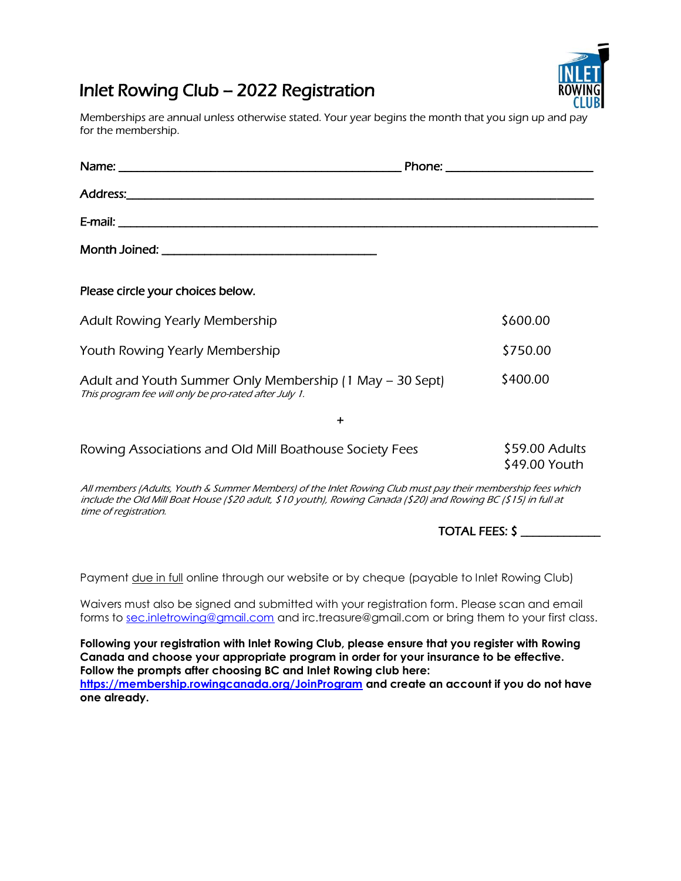## Inlet Rowing Club – 2022 Registration

Memberships are annual unless otherwise stated. Your year begins the month that you sign up and pay for the membership.

| Please circle your choices below.                                                                                                                                                                                                                     |                                 |
|-------------------------------------------------------------------------------------------------------------------------------------------------------------------------------------------------------------------------------------------------------|---------------------------------|
| Adult Rowing Yearly Membership                                                                                                                                                                                                                        | \$600.00                        |
| Youth Rowing Yearly Membership                                                                                                                                                                                                                        | \$750.00                        |
| Adult and Youth Summer Only Membership (1 May – 30 Sept)<br>This program fee will only be pro-rated after July 1.                                                                                                                                     | \$400.00                        |
| $\ddot{}$                                                                                                                                                                                                                                             |                                 |
| Rowing Associations and Old Mill Boathouse Society Fees                                                                                                                                                                                               | \$59.00 Adults<br>\$49.00 Youth |
| All members (Adults, Youth & Summer Members) of the Inlet Rowing Club must pay their membership fees which<br>include the Old Mill Boat House (\$20 adult, \$10 youth), Rowing Canada (\$20) and Rowing BC (\$15) in full at<br>time of registration. |                                 |
|                                                                                                                                                                                                                                                       | TOTAL FEES: \$                  |

Payment <u>due in full</u> online through our website or by cheque (payable to Inlet Rowing Club)

Waivers must also be signed and submitted with your registration form. Please scan and email forms to [sec.inletrowing@gmail.com](mailto:sec.inletrowing@gmail.com) and irc.treasure@gmail.com or bring them to your first class.

**Following your registration with Inlet Rowing Club, please ensure that you register with Rowing Canada and choose your appropriate program in order for your insurance to be effective. Follow the prompts after choosing BC and Inlet Rowing club here: <https://membership.rowingcanada.org/JoinProgram> and create an account if you do not have one already.**